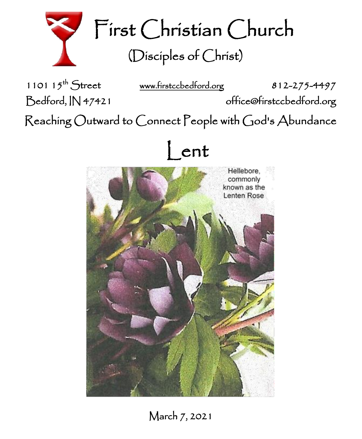

First Christian Church (Disciples of Christ)

1101  $15^{th}$  Street

[www.firstccbedford.org](http://www.firstccbedford.org/) 812-275-4497

Bedford, IN 47421 office@firstccbedford.org

 $\sf Reaching$   $\sf Outward$  to  $\sf Connect$   $\sf People$  with  $\sf God$ 's  $\sf Abundance$ 





March 7, 2021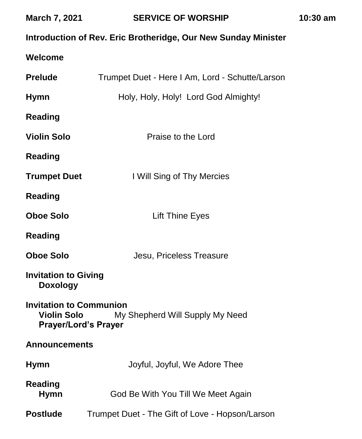| <b>March 7, 2021</b>                                                                                                   | <b>SERVICE OF WORSHIP</b>                       | 10:30 am |  |
|------------------------------------------------------------------------------------------------------------------------|-------------------------------------------------|----------|--|
| Introduction of Rev. Eric Brotheridge, Our New Sunday Minister                                                         |                                                 |          |  |
| Welcome                                                                                                                |                                                 |          |  |
| <b>Prelude</b>                                                                                                         | Trumpet Duet - Here I Am, Lord - Schutte/Larson |          |  |
| <b>Hymn</b>                                                                                                            | Holy, Holy, Holy! Lord God Almighty!            |          |  |
| <b>Reading</b>                                                                                                         |                                                 |          |  |
| <b>Violin Solo</b>                                                                                                     | Praise to the Lord                              |          |  |
| <b>Reading</b>                                                                                                         |                                                 |          |  |
| <b>Trumpet Duet</b>                                                                                                    | I Will Sing of Thy Mercies                      |          |  |
| <b>Reading</b>                                                                                                         |                                                 |          |  |
| <b>Oboe Solo</b>                                                                                                       | Lift Thine Eyes                                 |          |  |
| <b>Reading</b>                                                                                                         |                                                 |          |  |
| <b>Oboe Solo</b>                                                                                                       | Jesu, Priceless Treasure                        |          |  |
| <b>Invitation to Giving</b><br><b>Doxology</b>                                                                         |                                                 |          |  |
| <b>Invitation to Communion</b><br><b>Violin Solo</b><br>My Shepherd Will Supply My Need<br><b>Prayer/Lord's Prayer</b> |                                                 |          |  |
| <b>Announcements</b>                                                                                                   |                                                 |          |  |
| <b>Hymn</b>                                                                                                            | Joyful, Joyful, We Adore Thee                   |          |  |
| <b>Reading</b><br><b>Hymn</b>                                                                                          | God Be With You Till We Meet Again              |          |  |
| <b>Postlude</b>                                                                                                        | Trumpet Duet - The Gift of Love - Hopson/Larson |          |  |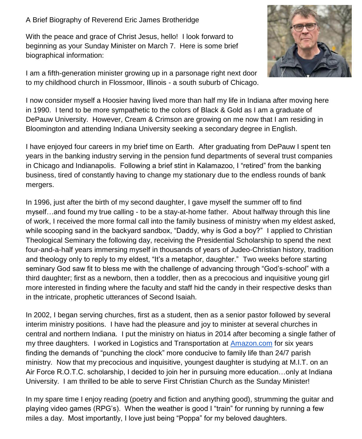A Brief Biography of Reverend Eric James Brotheridge

With the peace and grace of Christ Jesus, hello! I look forward to beginning as your Sunday Minister on March 7. Here is some brief biographical information:



I am a fifth-generation minister growing up in a parsonage right next door to my childhood church in Flossmoor, Illinois - a south suburb of Chicago.

I now consider myself a Hoosier having lived more than half my life in Indiana after moving here in 1990. I tend to be more sympathetic to the colors of Black & Gold as I am a graduate of DePauw University. However, Cream & Crimson are growing on me now that I am residing in Bloomington and attending Indiana University seeking a secondary degree in English.

I have enjoyed four careers in my brief time on Earth. After graduating from DePauw I spent ten years in the banking industry serving in the pension fund departments of several trust companies in Chicago and Indianapolis. Following a brief stint in Kalamazoo, I "retired" from the banking business, tired of constantly having to change my stationary due to the endless rounds of bank mergers.

In 1996, just after the birth of my second daughter, I gave myself the summer off to find myself…and found my true calling - to be a stay-at-home father. About halfway through this line of work, I received the more formal call into the family business of ministry when my eldest asked, while scooping sand in the backyard sandbox, "Daddy, why is God a boy?" I applied to Christian Theological Seminary the following day, receiving the Presidential Scholarship to spend the next four-and-a-half years immersing myself in thousands of years of Judeo-Christian history, tradition and theology only to reply to my eldest, "It's a metaphor, daughter." Two weeks before starting seminary God saw fit to bless me with the challenge of advancing through "God's-school" with a third daughter; first as a newborn, then a toddler, then as a precocious and inquisitive young girl more interested in finding where the faculty and staff hid the candy in their respective desks than in the intricate, prophetic utterances of Second Isaiah.

In 2002, I began serving churches, first as a student, then as a senior pastor followed by several interim ministry positions. I have had the pleasure and joy to minister at several churches in central and northern Indiana. I put the ministry on hiatus in 2014 after becoming a single father of my three daughters. I worked in Logistics and Transportation at [Amazon.com](http://amazon.com/) for six years finding the demands of "punching the clock" more conducive to family life than 24/7 parish ministry. Now that my precocious and inquisitive, youngest daughter is studying at M.I.T. on an Air Force R.O.T.C. scholarship, I decided to join her in pursuing more education…only at Indiana University. I am thrilled to be able to serve First Christian Church as the Sunday Minister!

In my spare time I enjoy reading (poetry and fiction and anything good), strumming the guitar and playing video games (RPG's). When the weather is good I "train" for running by running a few miles a day. Most importantly, I love just being "Poppa" for my beloved daughters.